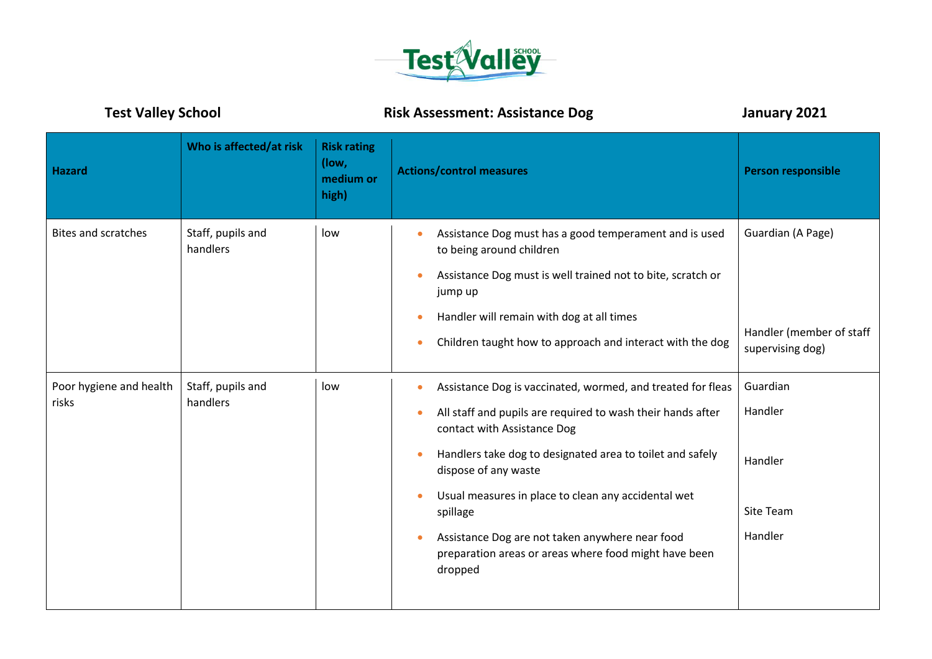

**Test Valley School Risk Assessment: Assistance Dog January 2021**

| <b>Hazard</b>                    | Who is affected/at risk       | <b>Risk rating</b><br>(low,<br>medium or<br>high) | <b>Actions/control measures</b>                                                                                                                                                                                                                                                                                                                                                                                                                                                                           | <b>Person responsible</b>                                         |
|----------------------------------|-------------------------------|---------------------------------------------------|-----------------------------------------------------------------------------------------------------------------------------------------------------------------------------------------------------------------------------------------------------------------------------------------------------------------------------------------------------------------------------------------------------------------------------------------------------------------------------------------------------------|-------------------------------------------------------------------|
| <b>Bites and scratches</b>       | Staff, pupils and<br>handlers | low                                               | Assistance Dog must has a good temperament and is used<br>$\bullet$<br>to being around children<br>Assistance Dog must is well trained not to bite, scratch or<br>$\bullet$<br>jump up<br>Handler will remain with dog at all times<br>$\bullet$<br>Children taught how to approach and interact with the dog<br>$\bullet$                                                                                                                                                                                | Guardian (A Page)<br>Handler (member of staff<br>supervising dog) |
| Poor hygiene and health<br>risks | Staff, pupils and<br>handlers | low                                               | Assistance Dog is vaccinated, wormed, and treated for fleas<br>$\bullet$<br>All staff and pupils are required to wash their hands after<br>$\bullet$<br>contact with Assistance Dog<br>Handlers take dog to designated area to toilet and safely<br>$\bullet$<br>dispose of any waste<br>Usual measures in place to clean any accidental wet<br>$\bullet$<br>spillage<br>Assistance Dog are not taken anywhere near food<br>$\bullet$<br>preparation areas or areas where food might have been<br>dropped | Guardian<br>Handler<br>Handler<br>Site Team<br>Handler            |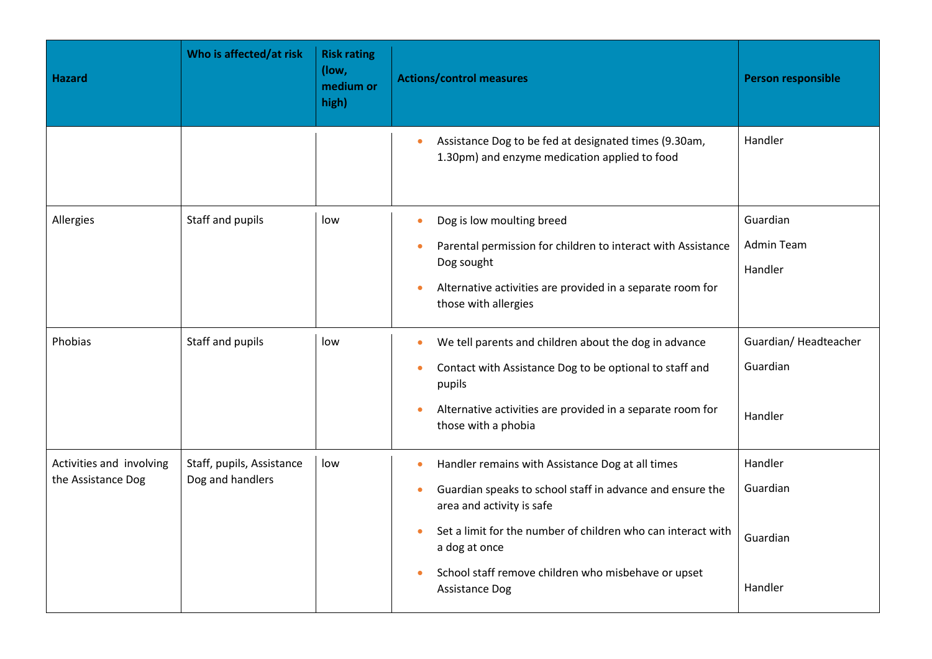| <b>Hazard</b>                                  | Who is affected/at risk                       | <b>Risk rating</b><br>(low,<br>medium or<br>high) | <b>Actions/control measures</b>                                                                                                                                                                                                                                                                                                                    | <b>Person responsible</b>                   |
|------------------------------------------------|-----------------------------------------------|---------------------------------------------------|----------------------------------------------------------------------------------------------------------------------------------------------------------------------------------------------------------------------------------------------------------------------------------------------------------------------------------------------------|---------------------------------------------|
|                                                |                                               |                                                   | Assistance Dog to be fed at designated times (9.30am,<br>$\bullet$<br>1.30pm) and enzyme medication applied to food                                                                                                                                                                                                                                | Handler                                     |
| Allergies                                      | Staff and pupils                              | low                                               | Dog is low moulting breed<br>$\bullet$<br>Parental permission for children to interact with Assistance<br>$\bullet$<br>Dog sought<br>Alternative activities are provided in a separate room for<br>$\bullet$<br>those with allergies                                                                                                               | Guardian<br>Admin Team<br>Handler           |
| Phobias                                        | Staff and pupils                              | low                                               | We tell parents and children about the dog in advance<br>$\bullet$<br>Contact with Assistance Dog to be optional to staff and<br>$\bullet$<br>pupils<br>Alternative activities are provided in a separate room for<br>¢<br>those with a phobia                                                                                                     | Guardian/Headteacher<br>Guardian<br>Handler |
| Activities and involving<br>the Assistance Dog | Staff, pupils, Assistance<br>Dog and handlers | low                                               | Handler remains with Assistance Dog at all times<br>$\bullet$<br>Guardian speaks to school staff in advance and ensure the<br>$\bullet$<br>area and activity is safe<br>Set a limit for the number of children who can interact with<br>$\bullet$<br>a dog at once<br>School staff remove children who misbehave or upset<br><b>Assistance Dog</b> | Handler<br>Guardian<br>Guardian<br>Handler  |